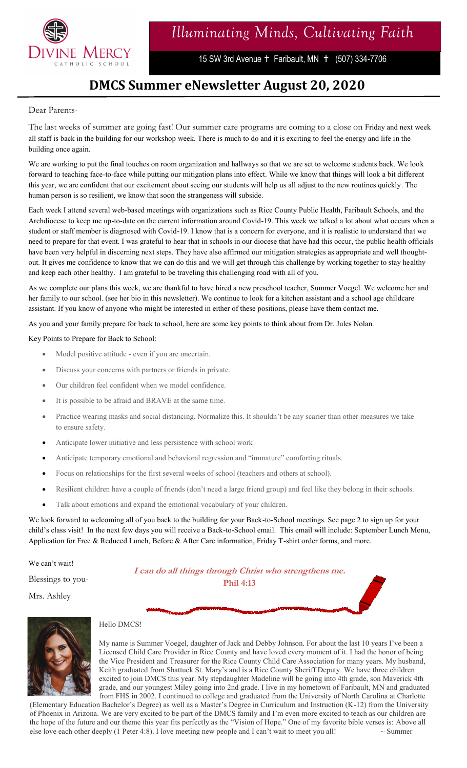

15 SW 3rd Avenue + Faribault, MN + (507) 334-7706

### **DMCS Summer eNewsletter August 20, 2020**

### Dear Parents-

The last weeks of summer are going fast! Our summer care programs are coming to a close on Friday and next week all staff is back in the building for our workshop week. There is much to do and it is exciting to feel the energy and life in the building once again.

We are working to put the final touches on room organization and hallways so that we are set to welcome students back. We look forward to teaching face-to-face while putting our mitigation plans into effect. While we know that things will look a bit different this year, we are confident that our excitement about seeing our students will help us all adjust to the new routines quickly. The human person is so resilient, we know that soon the strangeness will subside.

Each week I attend several web-based meetings with organizations such as Rice County Public Health, Faribault Schools, and the Archdiocese to keep me up-to-date on the current information around Covid-19. This week we talked a lot about what occurs when a student or staff member is diagnosed with Covid-19. I know that is a concern for everyone, and it is realistic to understand that we need to prepare for that event. I was grateful to hear that in schools in our diocese that have had this occur, the public health officials have been very helpful in discerning next steps. They have also affirmed our mitigation strategies as appropriate and well thoughtout. It gives me confidence to know that we can do this and we will get through this challenge by working together to stay healthy and keep each other healthy. I am grateful to be traveling this challenging road with all of you.

As we complete our plans this week, we are thankful to have hired a new preschool teacher, Summer Voegel. We welcome her and her family to our school. (see her bio in this newsletter). We continue to look for a kitchen assistant and a school age childcare assistant. If you know of anyone who might be interested in either of these positions, please have them contact me.

As you and your family prepare for back to school, here are some key points to think about from Dr. Jules Nolan.

Key Points to Prepare for Back to School:

- Model positive attitude even if you are uncertain.
- Discuss your concerns with partners or friends in private.
- Our children feel confident when we model confidence.
- It is possible to be afraid and BRAVE at the same time.
- Practice wearing masks and social distancing. Normalize this. It shouldn't be any scarier than other measures we take to ensure safety.
- Anticipate lower initiative and less persistence with school work
- Anticipate temporary emotional and behavioral regression and "immature" comforting rituals.
- Focus on relationships for the first several weeks of school (teachers and others at school).
- Resilient children have a couple of friends (don't need a large friend group) and feel like they belong in their schools.
- Talk about emotions and expand the emotional vocabulary of your children.

We look forward to welcoming all of you back to the building for your Back-to-School meetings. See page 2 to sign up for your child's class visit! In the next few days you will receive a Back-to-School email. This email will include: September Lunch Menu, Application for Free & Reduced Lunch, Before & After Care information, Friday T-shirt order forms, and more.

We can't wait!

Blessings to you-

**I can do all things through Christ who strengthens me. Phil 4:13**

Mrs. Ashley



#### Hello DMCS!

My name is Summer Voegel, daughter of Jack and Debby Johnson. For about the last 10 years I've been a Licensed Child Care Provider in Rice County and have loved every moment of it. I had the honor of being the Vice President and Treasurer for the Rice County Child Care Association for many years. My husband, Keith graduated from Shattuck St. Mary's and is a Rice County Sheriff Deputy. We have three children excited to join DMCS this year. My stepdaughter Madeline will be going into 4th grade, son Maverick 4th grade, and our youngest Miley going into 2nd grade. I live in my hometown of Faribault, MN and graduated from FHS in 2002. I continued to college and graduated from the University of North Carolina at Charlotte

(Elementary Education Bachelor's Degree) as well as a Master's Degree in Curriculum and Instruction (K-12) from the University of Phoenix in Arizona. We are very excited to be part of the DMCS family and I'm even more excited to teach as our children are the hope of the future and our theme this year fits perfectly as the "Vision of Hope." One of my favorite bible verses is: Above all else love each other deeply (1 Peter 4:8). I love meeting new people and I can't wait to meet you all!  $\sim$  Summer